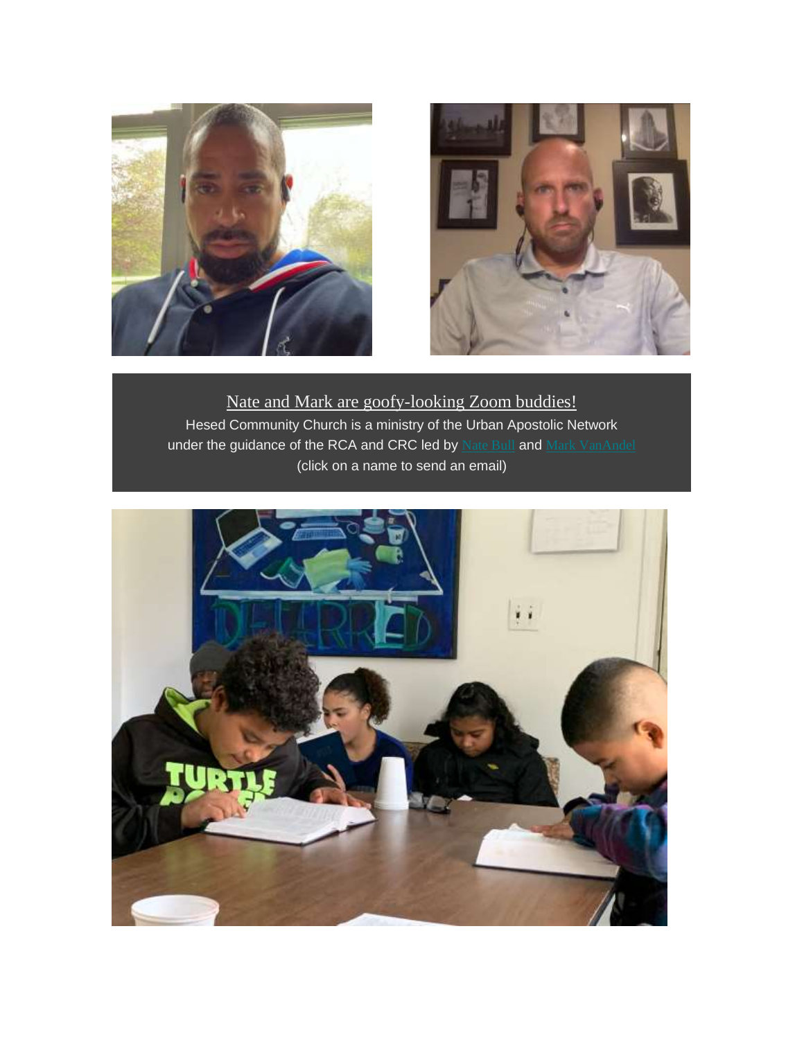



Nate and Mark are goofy-looking Zoom buddies! Hesed Community Church is a ministry of the Urban Apostolic Network under the guidance of the RCA and CRC led by [Nate](mailto:nathanielbull@hotmail.com?subject=Hesed%20News%20Response) Bull and Mark [VanAndel](mailto:mark_vanandel@hotmail.com?subject=Hesed%20News%20Response) (click on a name to send an email)

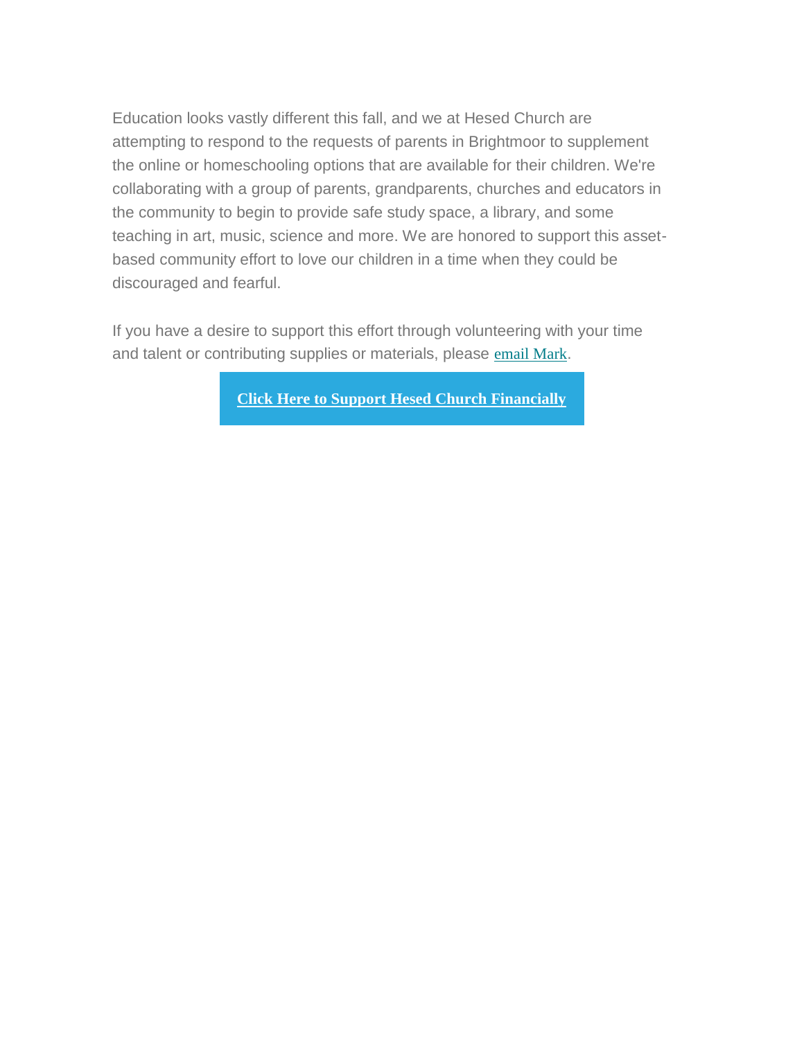Education looks vastly different this fall, and we at Hesed Church are attempting to respond to the requests of parents in Brightmoor to supplement the online or homeschooling options that are available for their children. We're collaborating with a group of parents, grandparents, churches and educators in the community to begin to provide safe study space, a library, and some teaching in art, music, science and more. We are honored to support this assetbased community effort to love our children in a time when they could be discouraged and fearful.

If you have a desire to support this effort through volunteering with your time and talent or contributing supplies or materials, please [email](mailto:hesedcc@gmail.com?subject=Hesed%20Brightmoor%20Educational%20efforts) Mark.

**Click Here to Support Hesed Church [Financially](https://hesedcc.us8.list-manage.com/track/click?u=ca932515f9d8d4d68f74a8bf5&id=9ef560d0bf&e=cf140aa850)**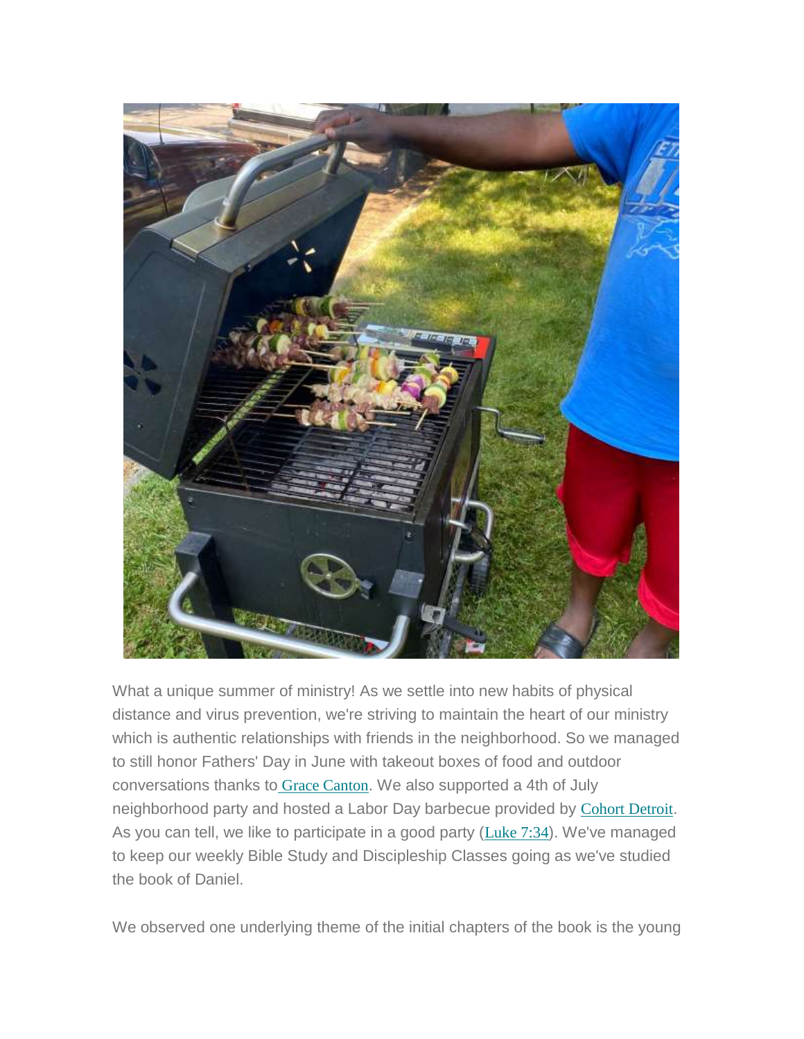

What a unique summer of ministry! As we settle into new habits of physical distance and virus prevention, we're striving to maintain the heart of our ministry which is authentic relationships with friends in the neighborhood. So we managed to still honor Fathers' Day in June with takeout boxes of food and outdoor conversations thanks to Grace [Canton](https://hesedcc.us8.list-manage.com/track/click?u=ca932515f9d8d4d68f74a8bf5&id=744f650882&e=cf140aa850). We also supported a 4th of July neighborhood party and hosted a Labor Day barbecue provided by Cohort [Detroit](https://hesedcc.us8.list-manage.com/track/click?u=ca932515f9d8d4d68f74a8bf5&id=6e5bbe75bf&e=cf140aa850). As you can tell, we like to participate in a good party ([Luke](https://hesedcc.us8.list-manage.com/track/click?u=ca932515f9d8d4d68f74a8bf5&id=14bdc4a61d&e=cf140aa850) 7:34). We've managed to keep our weekly Bible Study and Discipleship Classes going as we've studied the book of Daniel.

We observed one underlying theme of the initial chapters of the book is the young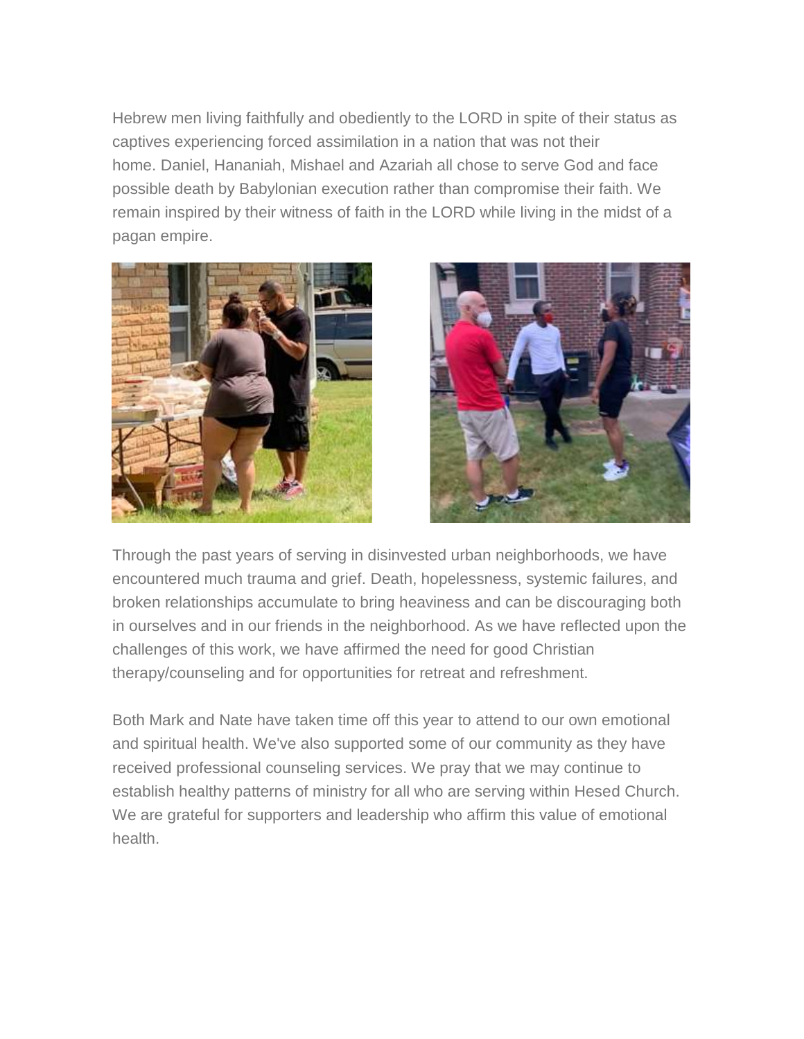Hebrew men living faithfully and obediently to the LORD in spite of their status as captives experiencing forced assimilation in a nation that was not their home. Daniel, Hananiah, Mishael and Azariah all chose to serve God and face possible death by Babylonian execution rather than compromise their faith. We remain inspired by their witness of faith in the LORD while living in the midst of a pagan empire.





Through the past years of serving in disinvested urban neighborhoods, we have encountered much trauma and grief. Death, hopelessness, systemic failures, and broken relationships accumulate to bring heaviness and can be discouraging both in ourselves and in our friends in the neighborhood. As we have reflected upon the challenges of this work, we have affirmed the need for good Christian therapy/counseling and for opportunities for retreat and refreshment.

Both Mark and Nate have taken time off this year to attend to our own emotional and spiritual health. We've also supported some of our community as they have received professional counseling services. We pray that we may continue to establish healthy patterns of ministry for all who are serving within Hesed Church. We are grateful for supporters and leadership who affirm this value of emotional health.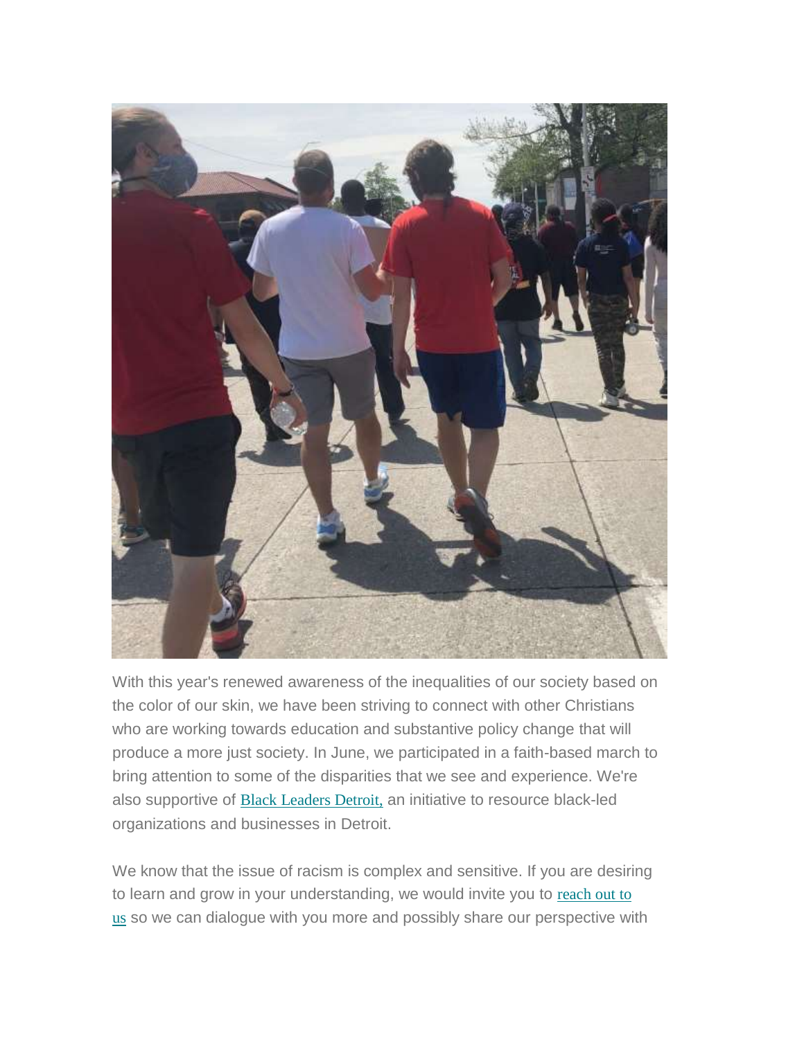

With this year's renewed awareness of the inequalities of our society based on the color of our skin, we have been striving to connect with other Christians who are working towards education and substantive policy change that will produce a more just society. In June, we participated in a faith-based march to bring attention to some of the disparities that we see and experience. We're also supportive of Black [Leaders](https://hesedcc.us8.list-manage.com/track/click?u=ca932515f9d8d4d68f74a8bf5&id=dacc7b7ff2&e=cf140aa850) Detroit, an initiative to resource black-led organizations and businesses in Detroit.

We know that the issue of racism is complex and sensitive. If you are desiring to learn and grow in your understanding, we would invite you to [reach](mailto:hesedcc@gmail.com?subject=Hesed%20Racism%20Conversation) out to [us](mailto:hesedcc@gmail.com?subject=Hesed%20Racism%20Conversation) so we can dialogue with you more and possibly share our perspective with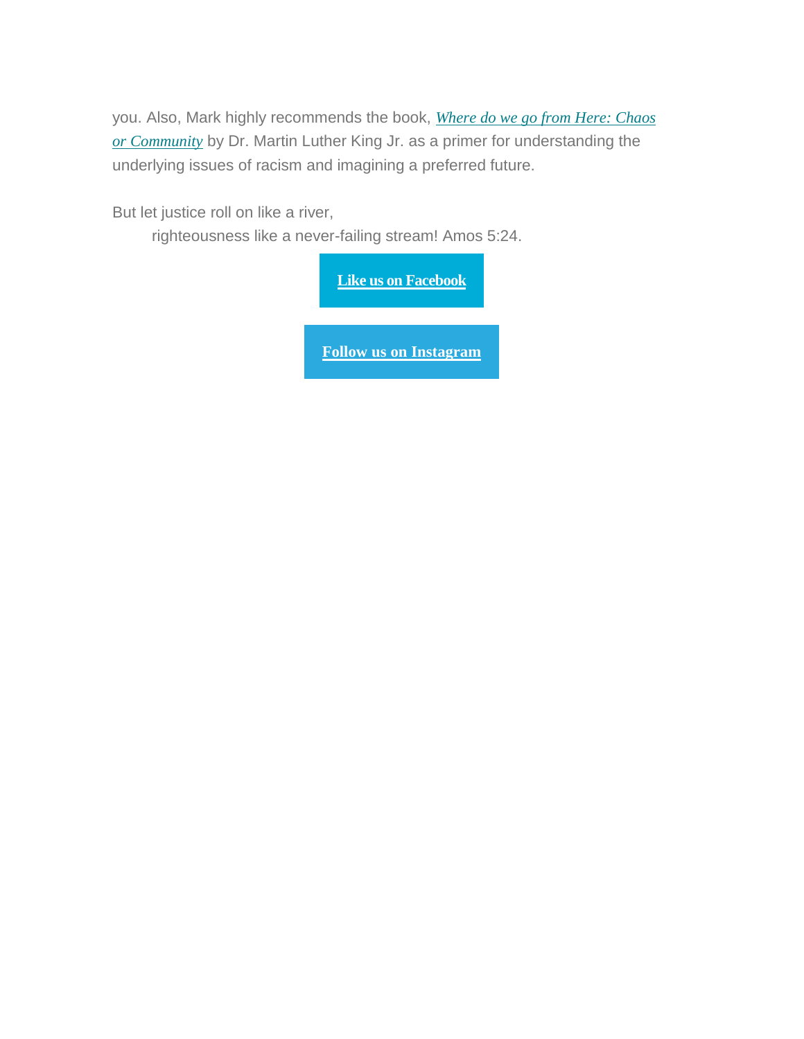you. Also, Mark highly recommends the book, *[Where](https://hesedcc.us8.list-manage.com/track/click?u=ca932515f9d8d4d68f74a8bf5&id=41985f543a&e=cf140aa850) do we go from Here: Chaos or [Community](https://hesedcc.us8.list-manage.com/track/click?u=ca932515f9d8d4d68f74a8bf5&id=41985f543a&e=cf140aa850)* by Dr. Martin Luther King Jr. as a primer for understanding the underlying issues of racism and imagining a preferred future.

But let justice roll on like a river,

righteousness like a never-failing stream! Amos 5:24.

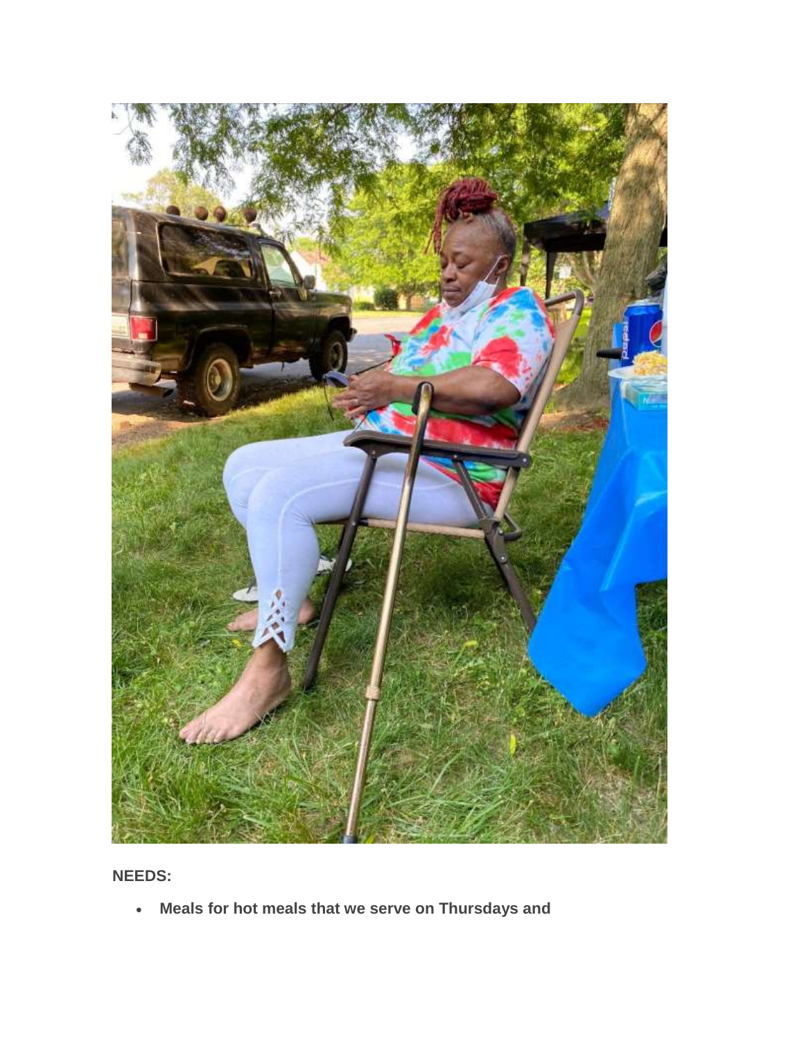

**NEEDS:**

**Meals for hot meals that we serve on Thursdays and**